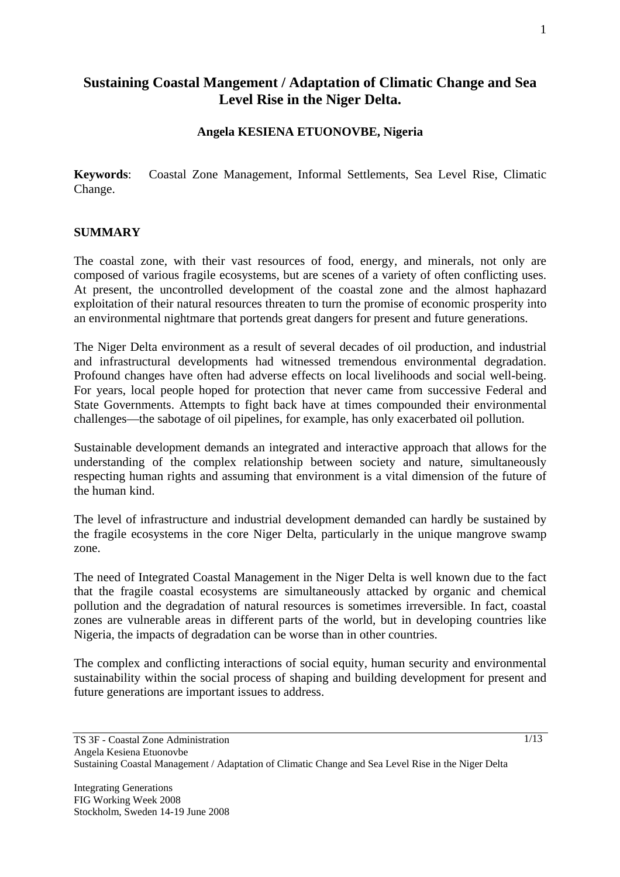# **Sustaining Coastal Mangement / Adaptation of Climatic Change and Sea Level Rise in the Niger Delta.**

# **Angela KESIENA ETUONOVBE, Nigeria**

**Keywords**: Coastal Zone Management, Informal Settlements, Sea Level Rise, Climatic Change.

### **SUMMARY**

The coastal zone, with their vast resources of food, energy, and minerals, not only are composed of various fragile ecosystems, but are scenes of a variety of often conflicting uses. At present, the uncontrolled development of the coastal zone and the almost haphazard exploitation of their natural resources threaten to turn the promise of economic prosperity into an environmental nightmare that portends great dangers for present and future generations.

The Niger Delta environment as a result of several decades of oil production, and industrial and infrastructural developments had witnessed tremendous environmental degradation. Profound changes have often had adverse effects on local livelihoods and social well-being. For years, local people hoped for protection that never came from successive Federal and State Governments. Attempts to fight back have at times compounded their environmental challenges—the sabotage of oil pipelines, for example, has only exacerbated oil pollution.

Sustainable development demands an integrated and interactive approach that allows for the understanding of the complex relationship between society and nature, simultaneously respecting human rights and assuming that environment is a vital dimension of the future of the human kind.

The level of infrastructure and industrial development demanded can hardly be sustained by the fragile ecosystems in the core Niger Delta, particularly in the unique mangrove swamp zone.

The need of Integrated Coastal Management in the Niger Delta is well known due to the fact that the fragile coastal ecosystems are simultaneously attacked by organic and chemical pollution and the degradation of natural resources is sometimes irreversible. In fact, coastal zones are vulnerable areas in different parts of the world, but in developing countries like Nigeria, the impacts of degradation can be worse than in other countries.

The complex and conflicting interactions of social equity, human security and environmental sustainability within the social process of shaping and building development for present and future generations are important issues to address.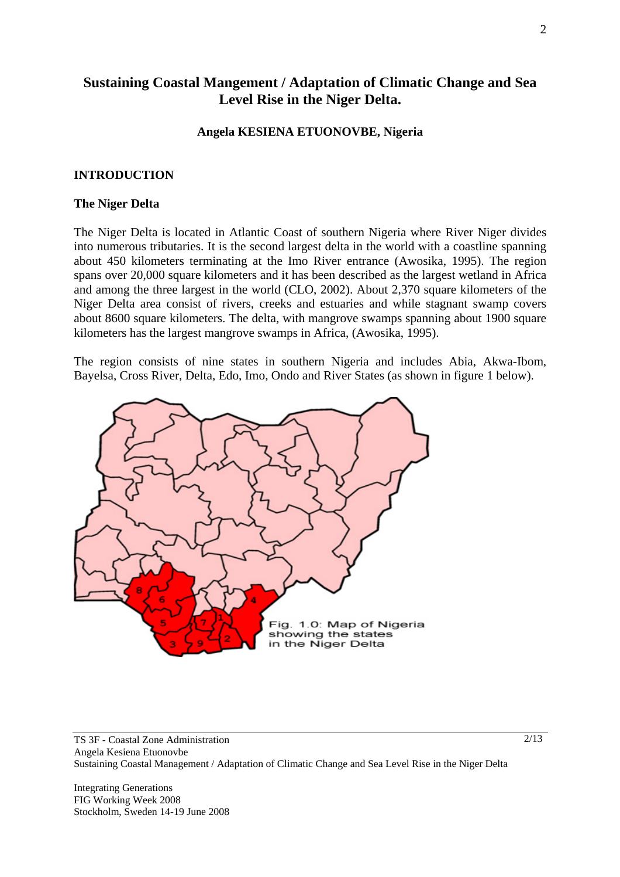# **Sustaining Coastal Mangement / Adaptation of Climatic Change and Sea Level Rise in the Niger Delta.**

#### **Angela KESIENA ETUONOVBE, Nigeria**

#### **INTRODUCTION**

#### **The Niger Delta**

The Niger Delta is located in Atlantic Coast of southern Nigeria where River Niger divides into numerous tributaries. It is the second largest delta in the world with a coastline spanning about 450 kilometers terminating at the Imo River entrance (Awosika, 1995). The region spans over 20,000 square kilometers and it has been described as the largest wetland in Africa and among the three largest in the world (CLO, 2002). About 2,370 square kilometers of the Niger Delta area consist of rivers, creeks and estuaries and while stagnant swamp covers about 8600 square kilometers. The delta, with mangrove swamps spanning about 1900 square kilometers has the largest mangrove swamps in Africa, (Awosika, 1995).

The region consists of nine states in southern Nigeria and includes Abia, Akwa-Ibom, Bayelsa, Cross River, Delta, Edo, Imo, Ondo and River States (as shown in figure 1 below).



TS 3F - Coastal Zone Administration Angela Kesiena Etuonovbe Sustaining Coastal Management / Adaptation of Climatic Change and Sea Level Rise in the Niger Delta

Integrating Generations FIG Working Week 2008 Stockholm, Sweden 14-19 June 2008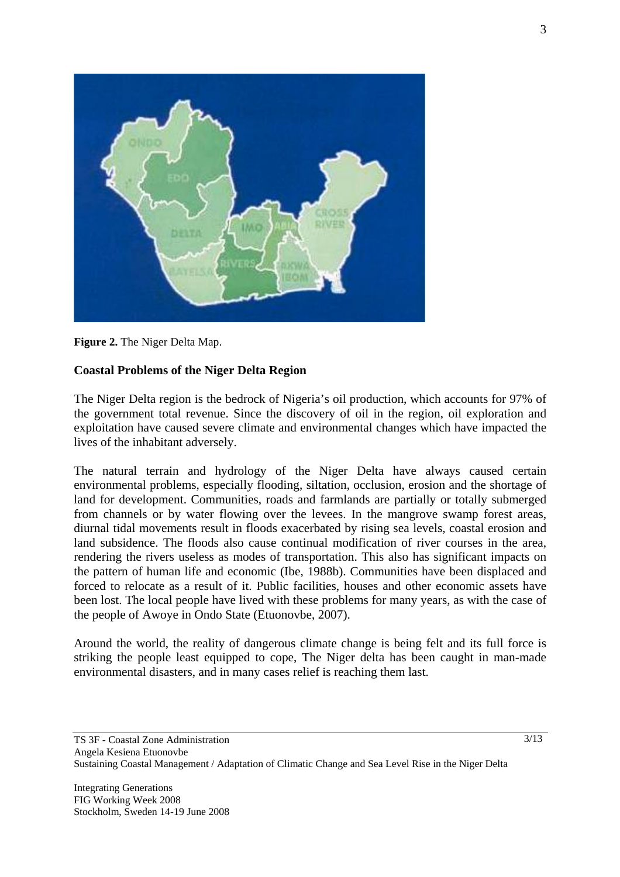

**Figure 2.** The Niger Delta Map.

# **Coastal Problems of the Niger Delta Region**

The Niger Delta region is the bedrock of Nigeria's oil production, which accounts for 97% of the government total revenue. Since the discovery of oil in the region, oil exploration and exploitation have caused severe climate and environmental changes which have impacted the lives of the inhabitant adversely.

The natural terrain and hydrology of the Niger Delta have always caused certain environmental problems, especially flooding, siltation, occlusion, erosion and the shortage of land for development. Communities, roads and farmlands are partially or totally submerged from channels or by water flowing over the levees. In the mangrove swamp forest areas, diurnal tidal movements result in floods exacerbated by rising sea levels, coastal erosion and land subsidence. The floods also cause continual modification of river courses in the area, rendering the rivers useless as modes of transportation. This also has significant impacts on the pattern of human life and economic (Ibe, 1988b). Communities have been displaced and forced to relocate as a result of it. Public facilities, houses and other economic assets have been lost. The local people have lived with these problems for many years, as with the case of the people of Awoye in Ondo State (Etuonovbe, 2007).

Around the world, the reality of dangerous climate change is being felt and its full force is striking the people least equipped to cope, The Niger delta has been caught in man-made environmental disasters, and in many cases relief is reaching them last.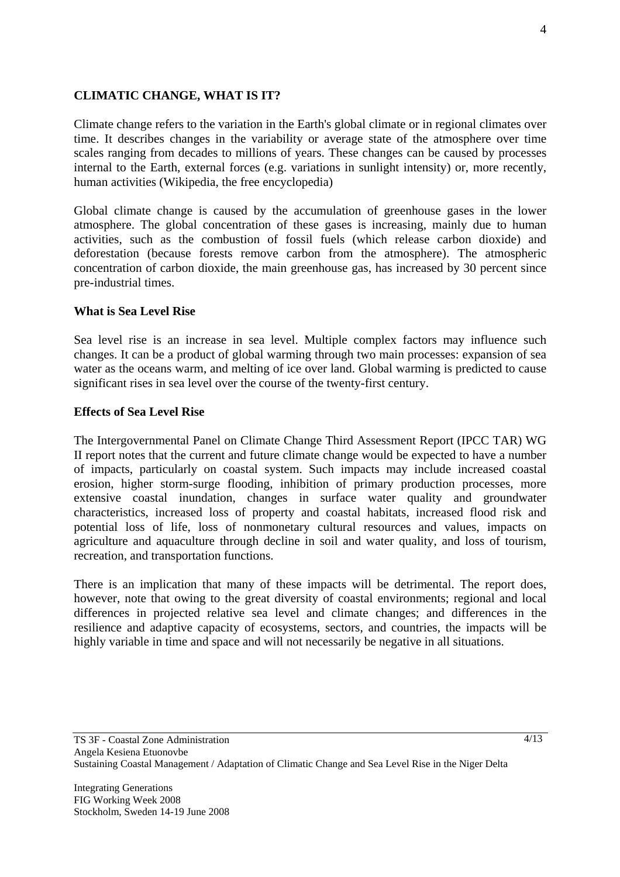# **CLIMATIC CHANGE, WHAT IS IT?**

Climate change refers to the variation in the Earth's global climate or in regional climates over time. It describes changes in the variability or average state of the atmosphere over time scales ranging from decades to millions of years. These changes can be caused by processes internal to the Earth, external forces (e.g. variations in sunlight intensity) or, more recently, human activities (Wikipedia, the free encyclopedia)

Global climate change is caused by the accumulation of greenhouse gases in the lower atmosphere. The global concentration of these gases is increasing, mainly due to human activities, such as the combustion of fossil fuels (which release carbon dioxide) and deforestation (because forests remove carbon from the atmosphere). The atmospheric concentration of carbon dioxide, the main greenhouse gas, has increased by 30 percent since pre-industrial times.

### **What is Sea Level Rise**

Sea level rise is an increase in sea level. Multiple complex factors may influence such changes. It can be a product of global warming through two main processes: expansion of sea water as the oceans warm, and melting of ice over land. Global warming is predicted to cause significant rises in sea level over the course of the twenty-first century.

### **Effects of Sea Level Rise**

The Intergovernmental Panel on Climate Change Third Assessment Report (IPCC TAR) WG II report notes that the current and future climate change would be expected to have a number of impacts, particularly on coastal system. Such impacts may include increased coastal erosion, higher storm-surge flooding, inhibition of primary production processes, more extensive coastal inundation, changes in surface water quality and groundwater characteristics, increased loss of property and coastal habitats, increased flood risk and potential loss of life, loss of nonmonetary cultural resources and values, impacts on agriculture and aquaculture through decline in soil and water quality, and loss of tourism, recreation, and transportation functions.

There is an implication that many of these impacts will be detrimental. The report does, however, note that owing to the great diversity of coastal environments; regional and local differences in projected relative sea level and climate changes; and differences in the resilience and adaptive capacity of ecosystems, sectors, and countries, the impacts will be highly variable in time and space and will not necessarily be negative in all situations.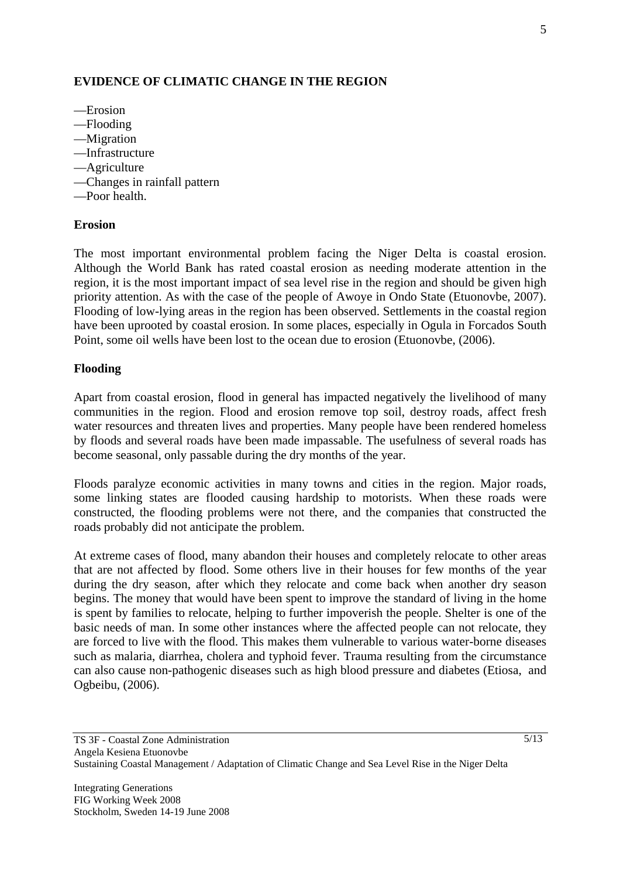# **EVIDENCE OF CLIMATIC CHANGE IN THE REGION**

- —Erosion
- —Flooding
- —Migration
- —Infrastructure
- —Agriculture
- —Changes in rainfall pattern
- —Poor health.

#### **Erosion**

The most important environmental problem facing the Niger Delta is coastal erosion. Although the World Bank has rated coastal erosion as needing moderate attention in the region, it is the most important impact of sea level rise in the region and should be given high priority attention. As with the case of the people of Awoye in Ondo State (Etuonovbe, 2007). Flooding of low-lying areas in the region has been observed. Settlements in the coastal region have been uprooted by coastal erosion. In some places, especially in Ogula in Forcados South Point, some oil wells have been lost to the ocean due to erosion (Etuonovbe, (2006).

### **Flooding**

Apart from coastal erosion, flood in general has impacted negatively the livelihood of many communities in the region. Flood and erosion remove top soil, destroy roads, affect fresh water resources and threaten lives and properties. Many people have been rendered homeless by floods and several roads have been made impassable. The usefulness of several roads has become seasonal, only passable during the dry months of the year.

Floods paralyze economic activities in many towns and cities in the region. Major roads, some linking states are flooded causing hardship to motorists. When these roads were constructed, the flooding problems were not there, and the companies that constructed the roads probably did not anticipate the problem.

At extreme cases of flood, many abandon their houses and completely relocate to other areas that are not affected by flood. Some others live in their houses for few months of the year during the dry season, after which they relocate and come back when another dry season begins. The money that would have been spent to improve the standard of living in the home is spent by families to relocate, helping to further impoverish the people. Shelter is one of the basic needs of man. In some other instances where the affected people can not relocate, they are forced to live with the flood. This makes them vulnerable to various water-borne diseases such as malaria, diarrhea, cholera and typhoid fever. Trauma resulting from the circumstance can also cause non-pathogenic diseases such as high blood pressure and diabetes (Etiosa, and Ogbeibu, (2006).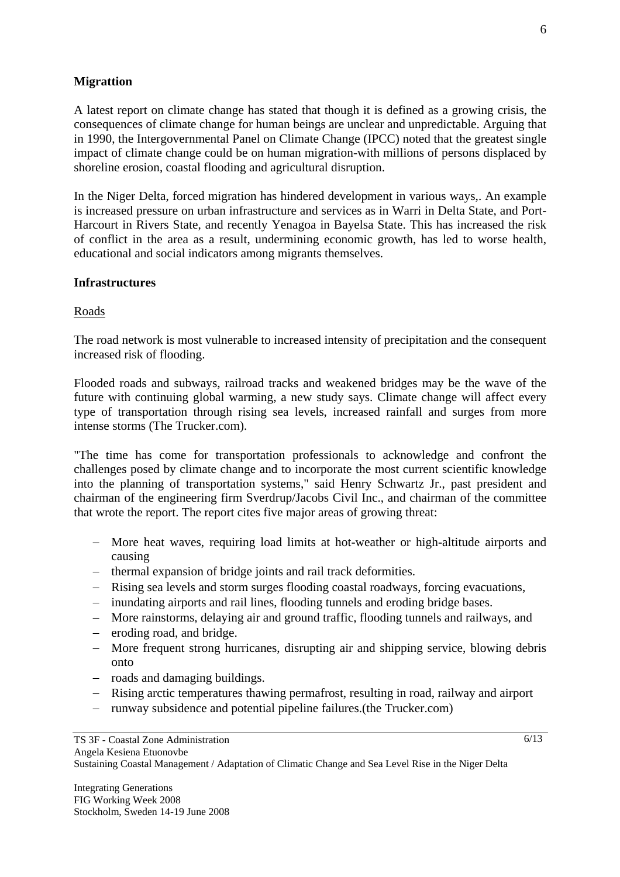# **Migrattion**

A latest report on climate change has stated that though it is defined as a growing crisis, the consequences of climate change for human beings are unclear and unpredictable. Arguing that in 1990, the Intergovernmental Panel on Climate Change (IPCC) noted that the greatest single impact of climate change could be on human migration-with millions of persons displaced by shoreline erosion, coastal flooding and agricultural disruption.

In the Niger Delta, forced migration has hindered development in various ways,. An example is increased pressure on urban infrastructure and services as in Warri in Delta State, and Port-Harcourt in Rivers State, and recently Yenagoa in Bayelsa State. This has increased the risk of conflict in the area as a result, undermining economic growth, has led to worse health, educational and social indicators among migrants themselves.

### **Infrastructures**

#### Roads

The road network is most vulnerable to increased intensity of precipitation and the consequent increased risk of flooding.

Flooded roads and subways, railroad tracks and weakened bridges may be the wave of the future with continuing global warming, a new study says. Climate change will affect every type of transportation through rising sea levels, increased rainfall and surges from more intense storms (The Trucker.com).

"The time has come for transportation professionals to acknowledge and confront the challenges posed by climate change and to incorporate the most current scientific knowledge into the planning of transportation systems," said Henry Schwartz Jr., past president and chairman of the engineering firm Sverdrup/Jacobs Civil Inc., and chairman of the committee that wrote the report. The report cites five major areas of growing threat:

- − More heat waves, requiring load limits at hot-weather or high-altitude airports and causing
- − thermal expansion of bridge joints and rail track deformities.
- − Rising sea levels and storm surges flooding coastal roadways, forcing evacuations,
- − inundating airports and rail lines, flooding tunnels and eroding bridge bases.
- − More rainstorms, delaying air and ground traffic, flooding tunnels and railways, and
- − eroding road, and bridge.
- − More frequent strong hurricanes, disrupting air and shipping service, blowing debris onto
- − roads and damaging buildings.
- − Rising arctic temperatures thawing permafrost, resulting in road, railway and airport
- − runway subsidence and potential pipeline failures.(the Trucker.com)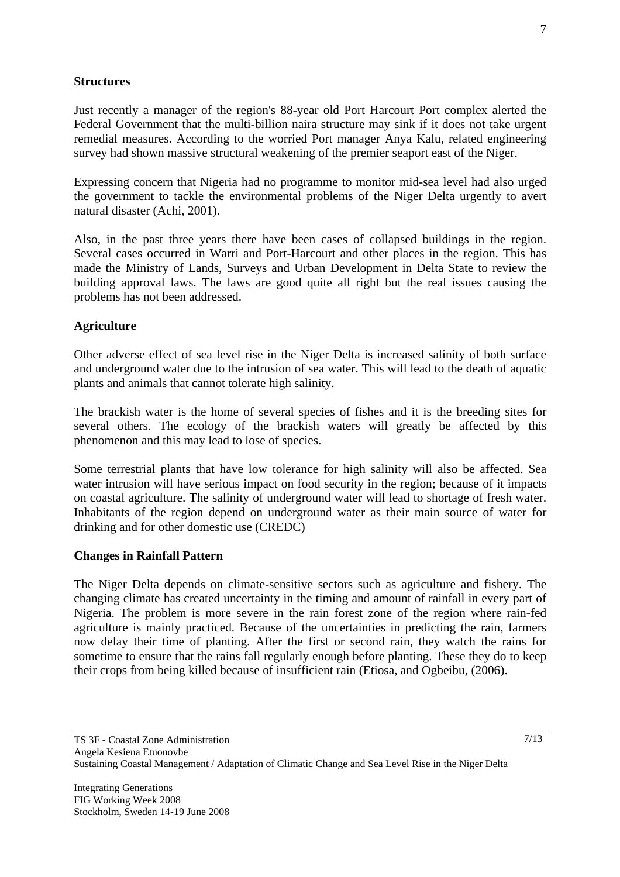# **Structures**

Just recently a manager of the region's 88-year old Port Harcourt Port complex alerted the Federal Government that the multi-billion naira structure may sink if it does not take urgent remedial measures. According to the worried Port manager Anya Kalu, related engineering survey had shown massive structural weakening of the premier seaport east of the Niger.

Expressing concern that Nigeria had no programme to monitor mid-sea level had also urged the government to tackle the environmental problems of the Niger Delta urgently to avert natural disaster (Achi, 2001).

Also, in the past three years there have been cases of collapsed buildings in the region. Several cases occurred in Warri and Port-Harcourt and other places in the region. This has made the Ministry of Lands, Surveys and Urban Development in Delta State to review the building approval laws. The laws are good quite all right but the real issues causing the problems has not been addressed.

# **Agriculture**

Other adverse effect of sea level rise in the Niger Delta is increased salinity of both surface and underground water due to the intrusion of sea water. This will lead to the death of aquatic plants and animals that cannot tolerate high salinity.

The brackish water is the home of several species of fishes and it is the breeding sites for several others. The ecology of the brackish waters will greatly be affected by this phenomenon and this may lead to lose of species.

Some terrestrial plants that have low tolerance for high salinity will also be affected. Sea water intrusion will have serious impact on food security in the region; because of it impacts on coastal agriculture. The salinity of underground water will lead to shortage of fresh water. Inhabitants of the region depend on underground water as their main source of water for drinking and for other domestic use (CREDC)

### **Changes in Rainfall Pattern**

The Niger Delta depends on climate-sensitive sectors such as agriculture and fishery. The changing climate has created uncertainty in the timing and amount of rainfall in every part of Nigeria. The problem is more severe in the rain forest zone of the region where rain-fed agriculture is mainly practiced. Because of the uncertainties in predicting the rain, farmers now delay their time of planting. After the first or second rain, they watch the rains for sometime to ensure that the rains fall regularly enough before planting. These they do to keep their crops from being killed because of insufficient rain (Etiosa, and Ogbeibu, (2006).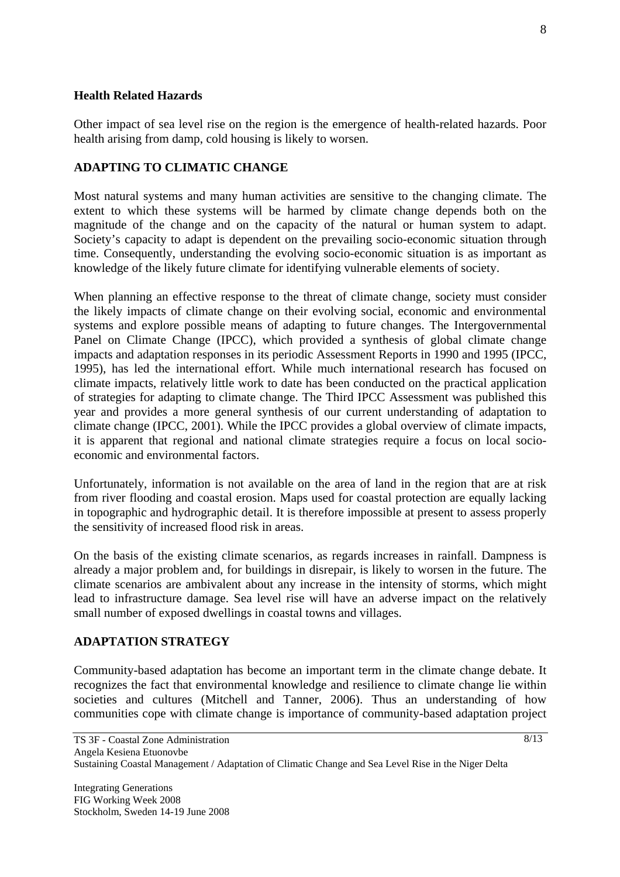## **Health Related Hazards**

Other impact of sea level rise on the region is the emergence of health-related hazards. Poor health arising from damp, cold housing is likely to worsen.

# **ADAPTING TO CLIMATIC CHANGE**

Most natural systems and many human activities are sensitive to the changing climate. The extent to which these systems will be harmed by climate change depends both on the magnitude of the change and on the capacity of the natural or human system to adapt. Society's capacity to adapt is dependent on the prevailing socio-economic situation through time. Consequently, understanding the evolving socio-economic situation is as important as knowledge of the likely future climate for identifying vulnerable elements of society.

When planning an effective response to the threat of climate change, society must consider the likely impacts of climate change on their evolving social, economic and environmental systems and explore possible means of adapting to future changes. The Intergovernmental Panel on Climate Change (IPCC), which provided a synthesis of global climate change impacts and adaptation responses in its periodic Assessment Reports in 1990 and 1995 (IPCC, 1995), has led the international effort. While much international research has focused on climate impacts, relatively little work to date has been conducted on the practical application of strategies for adapting to climate change. The Third IPCC Assessment was published this year and provides a more general synthesis of our current understanding of adaptation to climate change (IPCC, 2001). While the IPCC provides a global overview of climate impacts, it is apparent that regional and national climate strategies require a focus on local socioeconomic and environmental factors.

Unfortunately, information is not available on the area of land in the region that are at risk from river flooding and coastal erosion. Maps used for coastal protection are equally lacking in topographic and hydrographic detail. It is therefore impossible at present to assess properly the sensitivity of increased flood risk in areas.

On the basis of the existing climate scenarios, as regards increases in rainfall. Dampness is already a major problem and, for buildings in disrepair, is likely to worsen in the future. The climate scenarios are ambivalent about any increase in the intensity of storms, which might lead to infrastructure damage. Sea level rise will have an adverse impact on the relatively small number of exposed dwellings in coastal towns and villages.

# **ADAPTATION STRATEGY**

Community-based adaptation has become an important term in the climate change debate. It recognizes the fact that environmental knowledge and resilience to climate change lie within societies and cultures (Mitchell and Tanner, 2006). Thus an understanding of how communities cope with climate change is importance of community-based adaptation project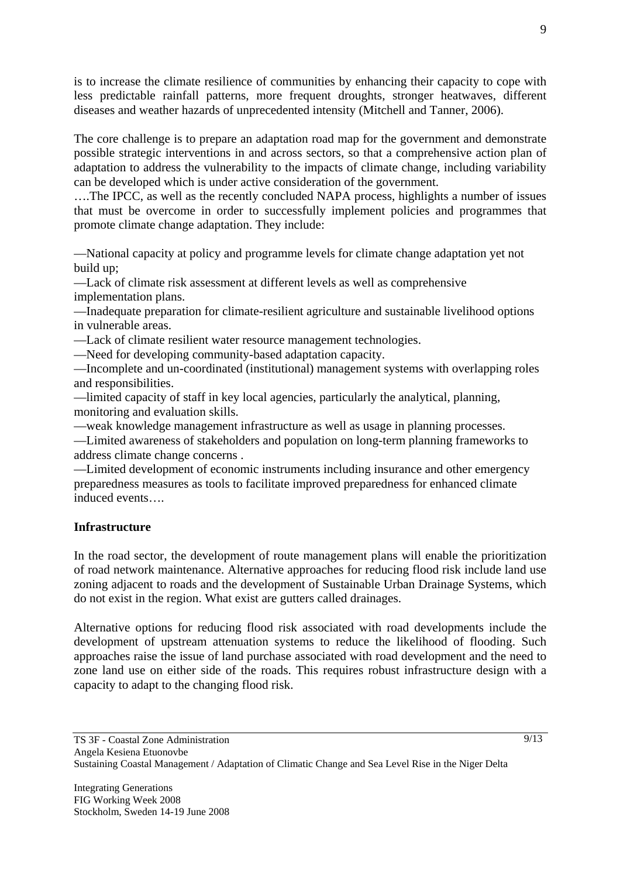is to increase the climate resilience of communities by enhancing their capacity to cope with less predictable rainfall patterns, more frequent droughts, stronger heatwaves, different diseases and weather hazards of unprecedented intensity (Mitchell and Tanner, 2006).

The core challenge is to prepare an adaptation road map for the government and demonstrate possible strategic interventions in and across sectors, so that a comprehensive action plan of adaptation to address the vulnerability to the impacts of climate change, including variability can be developed which is under active consideration of the government.

….The IPCC, as well as the recently concluded NAPA process, highlights a number of issues that must be overcome in order to successfully implement policies and programmes that promote climate change adaptation. They include:

—National capacity at policy and programme levels for climate change adaptation yet not build up;

—Lack of climate risk assessment at different levels as well as comprehensive implementation plans.

—Inadequate preparation for climate-resilient agriculture and sustainable livelihood options in vulnerable areas.

—Lack of climate resilient water resource management technologies.

—Need for developing community-based adaptation capacity.

—Incomplete and un-coordinated (institutional) management systems with overlapping roles and responsibilities.

—limited capacity of staff in key local agencies, particularly the analytical, planning, monitoring and evaluation skills.

—weak knowledge management infrastructure as well as usage in planning processes.

—Limited awareness of stakeholders and population on long-term planning frameworks to address climate change concerns .

—Limited development of economic instruments including insurance and other emergency preparedness measures as tools to facilitate improved preparedness for enhanced climate induced events….

# **Infrastructure**

In the road sector, the development of route management plans will enable the prioritization of road network maintenance. Alternative approaches for reducing flood risk include land use zoning adjacent to roads and the development of Sustainable Urban Drainage Systems, which do not exist in the region. What exist are gutters called drainages.

Alternative options for reducing flood risk associated with road developments include the development of upstream attenuation systems to reduce the likelihood of flooding. Such approaches raise the issue of land purchase associated with road development and the need to zone land use on either side of the roads. This requires robust infrastructure design with a capacity to adapt to the changing flood risk.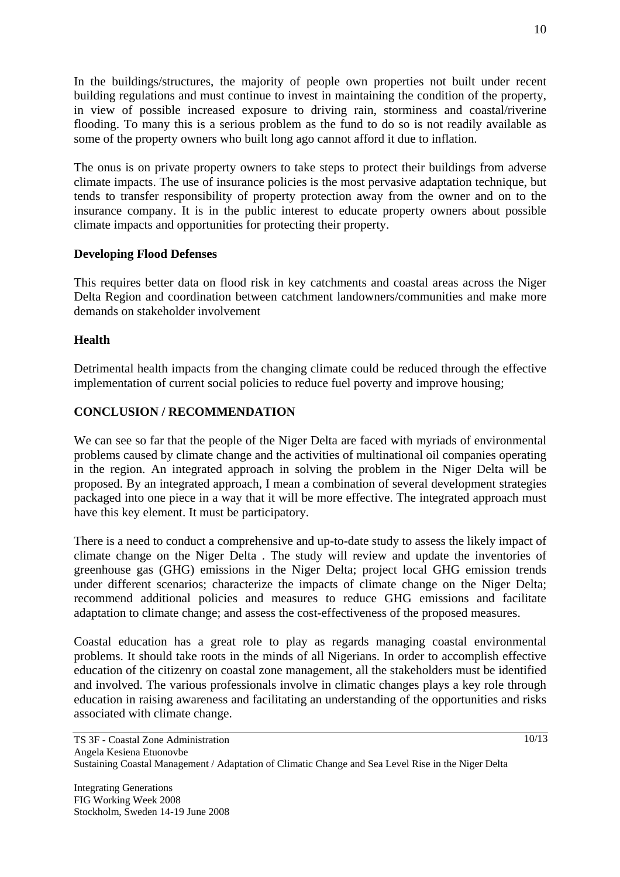In the buildings/structures, the majority of people own properties not built under recent building regulations and must continue to invest in maintaining the condition of the property, in view of possible increased exposure to driving rain, storminess and coastal/riverine flooding. To many this is a serious problem as the fund to do so is not readily available as some of the property owners who built long ago cannot afford it due to inflation.

The onus is on private property owners to take steps to protect their buildings from adverse climate impacts. The use of insurance policies is the most pervasive adaptation technique, but tends to transfer responsibility of property protection away from the owner and on to the insurance company. It is in the public interest to educate property owners about possible climate impacts and opportunities for protecting their property.

# **Developing Flood Defenses**

This requires better data on flood risk in key catchments and coastal areas across the Niger Delta Region and coordination between catchment landowners/communities and make more demands on stakeholder involvement

# **Health**

Detrimental health impacts from the changing climate could be reduced through the effective implementation of current social policies to reduce fuel poverty and improve housing;

# **CONCLUSION / RECOMMENDATION**

We can see so far that the people of the Niger Delta are faced with myriads of environmental problems caused by climate change and the activities of multinational oil companies operating in the region. An integrated approach in solving the problem in the Niger Delta will be proposed. By an integrated approach, I mean a combination of several development strategies packaged into one piece in a way that it will be more effective. The integrated approach must have this key element. It must be participatory.

There is a need to conduct a comprehensive and up-to-date study to assess the likely impact of climate change on the Niger Delta . The study will review and update the inventories of greenhouse gas (GHG) emissions in the Niger Delta; project local GHG emission trends under different scenarios; characterize the impacts of climate change on the Niger Delta; recommend additional policies and measures to reduce GHG emissions and facilitate adaptation to climate change; and assess the cost-effectiveness of the proposed measures.

Coastal education has a great role to play as regards managing coastal environmental problems. It should take roots in the minds of all Nigerians. In order to accomplish effective education of the citizenry on coastal zone management, all the stakeholders must be identified and involved. The various professionals involve in climatic changes plays a key role through education in raising awareness and facilitating an understanding of the opportunities and risks associated with climate change.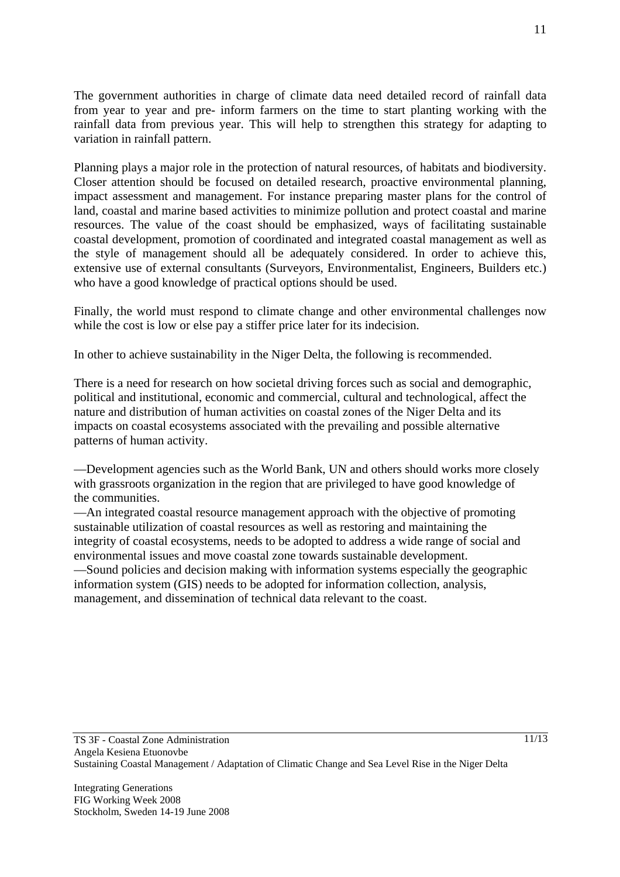The government authorities in charge of climate data need detailed record of rainfall data from year to year and pre- inform farmers on the time to start planting working with the rainfall data from previous year. This will help to strengthen this strategy for adapting to variation in rainfall pattern.

Planning plays a major role in the protection of natural resources, of habitats and biodiversity. Closer attention should be focused on detailed research, proactive environmental planning, impact assessment and management. For instance preparing master plans for the control of land, coastal and marine based activities to minimize pollution and protect coastal and marine resources. The value of the coast should be emphasized, ways of facilitating sustainable coastal development, promotion of coordinated and integrated coastal management as well as the style of management should all be adequately considered. In order to achieve this, extensive use of external consultants (Surveyors, Environmentalist, Engineers, Builders etc.) who have a good knowledge of practical options should be used.

Finally, the world must respond to climate change and other environmental challenges now while the cost is low or else pay a stiffer price later for its indecision.

In other to achieve sustainability in the Niger Delta, the following is recommended.

There is a need for research on how societal driving forces such as social and demographic, political and institutional, economic and commercial, cultural and technological, affect the nature and distribution of human activities on coastal zones of the Niger Delta and its impacts on coastal ecosystems associated with the prevailing and possible alternative patterns of human activity.

—Development agencies such as the World Bank, UN and others should works more closely with grassroots organization in the region that are privileged to have good knowledge of the communities.

—An integrated coastal resource management approach with the objective of promoting sustainable utilization of coastal resources as well as restoring and maintaining the integrity of coastal ecosystems, needs to be adopted to address a wide range of social and environmental issues and move coastal zone towards sustainable development.

—Sound policies and decision making with information systems especially the geographic information system (GIS) needs to be adopted for information collection, analysis, management, and dissemination of technical data relevant to the coast.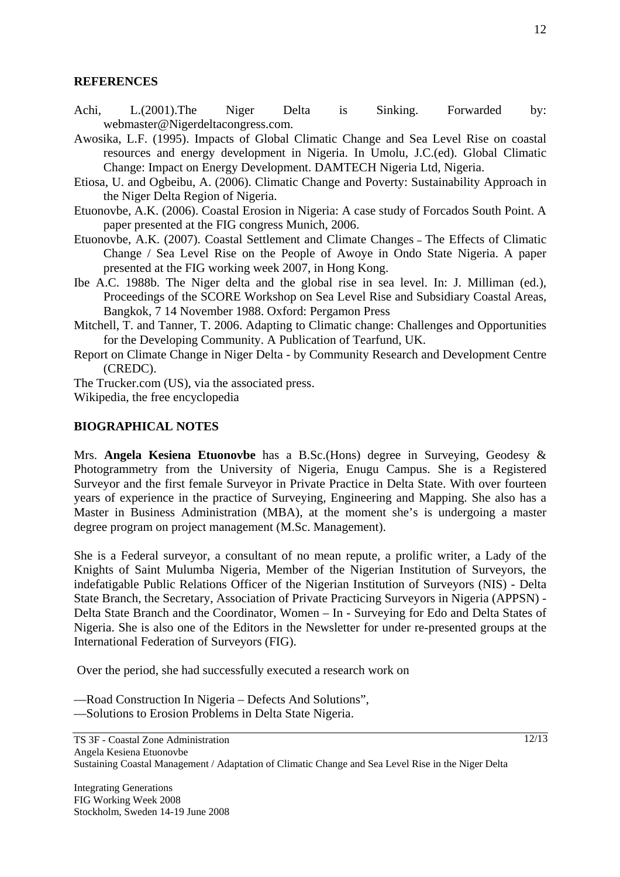### **REFERENCES**

- Achi, L.(2001).The Niger Delta is Sinking. Forwarded by: webmaster@Nigerdeltacongress.com.
- Awosika, L.F. (1995). Impacts of Global Climatic Change and Sea Level Rise on coastal resources and energy development in Nigeria. In Umolu, J.C.(ed). Global Climatic Change: Impact on Energy Development. DAMTECH Nigeria Ltd, Nigeria.
- Etiosa, U. and Ogbeibu, A. (2006). Climatic Change and Poverty: Sustainability Approach in the Niger Delta Region of Nigeria.
- Etuonovbe, A.K. (2006). Coastal Erosion in Nigeria: A case study of Forcados South Point. A paper presented at the FIG congress Munich, 2006.
- Etuonovbe, A.K. (2007). Coastal Settlement and Climate ChangesThe Effects of Climatic Change / Sea Level Rise on the People of Awoye in Ondo State Nigeria. A paper presented at the FIG working week 2007, in Hong Kong.
- Ibe A.C. 1988b. The Niger delta and the global rise in sea level. In: J. Milliman (ed.), Proceedings of the SCORE Workshop on Sea Level Rise and Subsidiary Coastal Areas, Bangkok, 7 14 November 1988. Oxford: Pergamon Press
- Mitchell, T. and Tanner, T. 2006. Adapting to Climatic change: Challenges and Opportunities for the Developing Community. A Publication of Tearfund, UK.
- Report on Climate Change in Niger Delta by Community Research and Development Centre (CREDC).

The Trucker.com (US), via the associated press. Wikipedia, the free encyclopedia

# **BIOGRAPHICAL NOTES**

Mrs. **Angela Kesiena Etuonovbe** has a B.Sc.(Hons) degree in Surveying, Geodesy & Photogrammetry from the University of Nigeria, Enugu Campus. She is a Registered Surveyor and the first female Surveyor in Private Practice in Delta State. With over fourteen years of experience in the practice of Surveying, Engineering and Mapping. She also has a Master in Business Administration (MBA), at the moment she's is undergoing a master degree program on project management (M.Sc. Management).

She is a Federal surveyor, a consultant of no mean repute, a prolific writer, a Lady of the Knights of Saint Mulumba Nigeria, Member of the Nigerian Institution of Surveyors, the indefatigable Public Relations Officer of the Nigerian Institution of Surveyors (NIS) - Delta State Branch, the Secretary, Association of Private Practicing Surveyors in Nigeria (APPSN) - Delta State Branch and the Coordinator, Women – In - Surveying for Edo and Delta States of Nigeria. She is also one of the Editors in the Newsletter for under re-presented groups at the International Federation of Surveyors (FIG).

Over the period, she had successfully executed a research work on

- —Road Construction In Nigeria Defects And Solutions",
- —Solutions to Erosion Problems in Delta State Nigeria.

 $\frac{12}{13}$